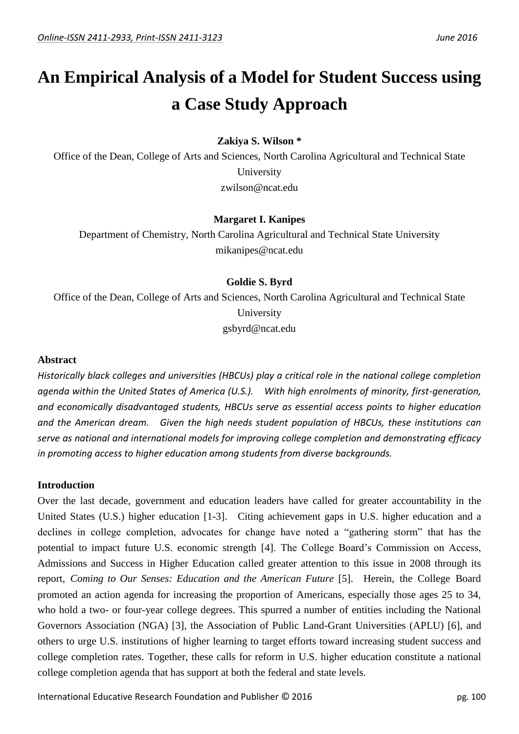# **An Empirical Analysis of a Model for Student Success using a Case Study Approach**

**Zakiya S. Wilson \***

Office of the Dean, College of Arts and Sciences, North Carolina Agricultural and Technical State University zwilson@ncat.edu

# **Margaret I. Kanipes**

Department of Chemistry, North Carolina Agricultural and Technical State University mikanipes@ncat.edu

# **Goldie S. Byrd**

Office of the Dean, College of Arts and Sciences, North Carolina Agricultural and Technical State University gsbyrd@ncat.edu

# **Abstract**

*Historically black colleges and universities (HBCUs) play a critical role in the national college completion agenda within the United States of America (U.S.). With high enrolments of minority, first-generation, and economically disadvantaged students, HBCUs serve as essential access points to higher education and the American dream. Given the high needs student population of HBCUs, these institutions can serve as national and international models for improving college completion and demonstrating efficacy in promoting access to higher education among students from diverse backgrounds.*

# **Introduction**

Over the last decade, government and education leaders have called for greater accountability in the United States (U.S.) higher education [\[1-3\]](#page-10-0). Citing achievement gaps in U.S. higher education and a declines in college completion, advocates for change have noted a "gathering storm" that has the potential to impact future U.S. economic strength [\[4\]](#page-10-1). The College Board's Commission on Access, Admissions and Success in Higher Education called greater attention to this issue in 2008 through its report, *Coming to Our Senses: Education and the American Future* [\[5\]](#page-11-0). Herein, the College Board promoted an action agenda for increasing the proportion of Americans, especially those ages 25 to 34, who hold a two- or four-year college degrees. This spurred a number of entities including the National Governors Association (NGA) [\[3\]](#page-10-2), the Association of Public Land-Grant Universities (APLU) [\[6\]](#page-11-1), and others to urge U.S. institutions of higher learning to target efforts toward increasing student success and college completion rates. Together, these calls for reform in U.S. higher education constitute a national college completion agenda that has support at both the federal and state levels.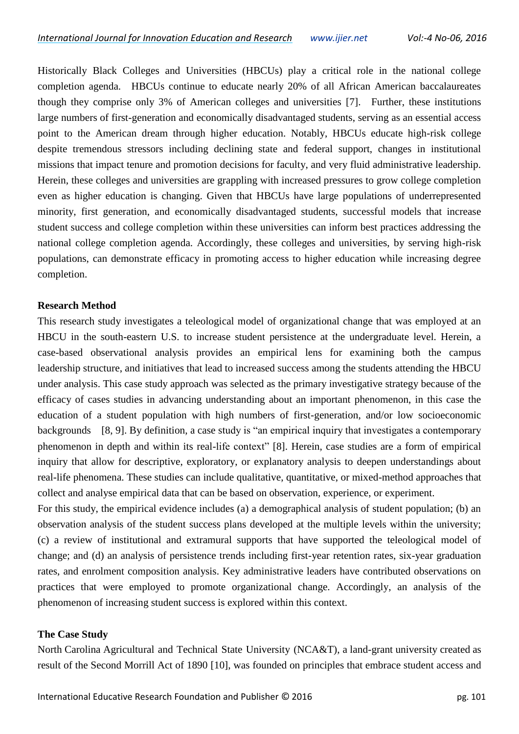Historically Black Colleges and Universities (HBCUs) play a critical role in the national college completion agenda. HBCUs continue to educate nearly 20% of all African American baccalaureates though they comprise only 3% of American colleges and universities [\[7\]](#page-11-2). Further, these institutions large numbers of first-generation and economically disadvantaged students, serving as an essential access point to the American dream through higher education. Notably, HBCUs educate high-risk college despite tremendous stressors including declining state and federal support, changes in institutional missions that impact tenure and promotion decisions for faculty, and very fluid administrative leadership. Herein, these colleges and universities are grappling with increased pressures to grow college completion even as higher education is changing. Given that HBCUs have large populations of underrepresented minority, first generation, and economically disadvantaged students, successful models that increase student success and college completion within these universities can inform best practices addressing the national college completion agenda. Accordingly, these colleges and universities, by serving high-risk populations, can demonstrate efficacy in promoting access to higher education while increasing degree completion.

## **Research Method**

This research study investigates a teleological model of organizational change that was employed at an HBCU in the south-eastern U.S. to increase student persistence at the undergraduate level. Herein, a case-based observational analysis provides an empirical lens for examining both the campus leadership structure, and initiatives that lead to increased success among the students attending the HBCU under analysis. This case study approach was selected as the primary investigative strategy because of the efficacy of cases studies in advancing understanding about an important phenomenon, in this case the education of a student population with high numbers of first-generation, and/or low socioeconomic backgrounds [\[8,](#page-11-3) [9\]](#page-11-4). By definition, a case study is "an empirical inquiry that investigates a contemporary phenomenon in depth and within its real-life context" [\[8\]](#page-11-3). Herein, case studies are a form of empirical inquiry that allow for descriptive, exploratory, or explanatory analysis to deepen understandings about real-life phenomena. These studies can include qualitative, quantitative, or mixed-method approaches that collect and analyse empirical data that can be based on observation, experience, or experiment.

For this study, the empirical evidence includes (a) a demographical analysis of student population; (b) an observation analysis of the student success plans developed at the multiple levels within the university; (c) a review of institutional and extramural supports that have supported the teleological model of change; and (d) an analysis of persistence trends including first-year retention rates, six-year graduation rates, and enrolment composition analysis. Key administrative leaders have contributed observations on practices that were employed to promote organizational change. Accordingly, an analysis of the phenomenon of increasing student success is explored within this context.

# **The Case Study**

North Carolina Agricultural and Technical State University (NCA&T), a land-grant university created as result of the Second Morrill Act of 1890 [\[10\]](#page-11-5), was founded on principles that embrace student access and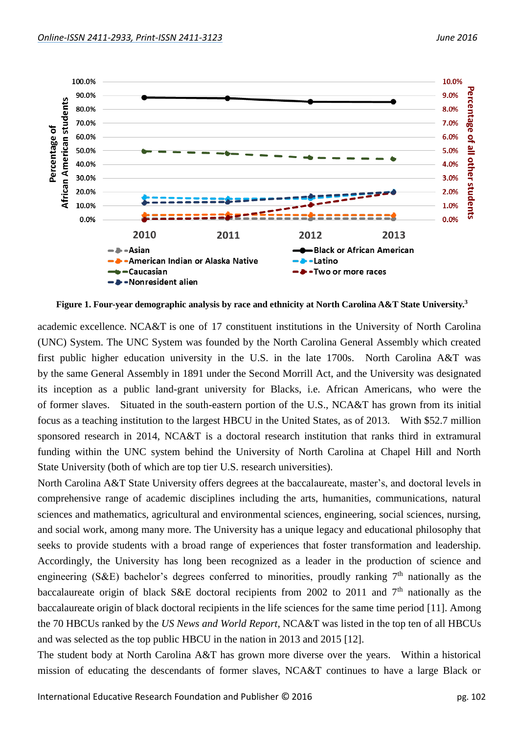

**Figure 1. Four-year demographic analysis by race and ethnicity at North Carolina A&T State University.<sup>3</sup>**

academic excellence. NCA&T is one of 17 constituent institutions in the University of North Carolina (UNC) System. The UNC System was founded by the North Carolina General Assembly which created first public higher education university in the U.S. in the late 1700s. North Carolina A&T was by the same General Assembly in 1891 under the Second Morrill Act, and the University was designated its inception as a public land-grant university for Blacks, i.e. African Americans, who were the of former slaves. Situated in the south-eastern portion of the U.S., NCA&T has grown from its initial focus as a teaching institution to the largest HBCU in the United States, as of 2013. With \$52.7 million sponsored research in 2014, NCA&T is a doctoral research institution that ranks third in extramural funding within the UNC system behind the University of North Carolina at Chapel Hill and North State University (both of which are top tier U.S. research universities).

North Carolina A&T State University offers degrees at the baccalaureate, master's, and doctoral levels in comprehensive range of academic disciplines including the arts, humanities, communications, natural sciences and mathematics, agricultural and environmental sciences, engineering, social sciences, nursing, and social work, among many more. The University has a unique legacy and educational philosophy that seeks to provide students with a broad range of experiences that foster transformation and leadership. Accordingly, the University has long been recognized as a leader in the production of science and engineering (S&E) bachelor's degrees conferred to minorities, proudly ranking  $7<sup>th</sup>$  nationally as the baccalaureate origin of black S&E doctoral recipients from 2002 to 2011 and 7<sup>th</sup> nationally as the baccalaureate origin of black doctoral recipients in the life sciences for the same time period [\[11\]](#page-11-6). Among the 70 HBCUs ranked by the *US News and World Report*, NCA&T was listed in the top ten of all HBCUs and was selected as the top public HBCU in the nation in 2013 and 2015 [\[12\]](#page-11-7).

The student body at North Carolina A&T has grown more diverse over the years. Within a historical mission of educating the descendants of former slaves, NCA&T continues to have a large Black or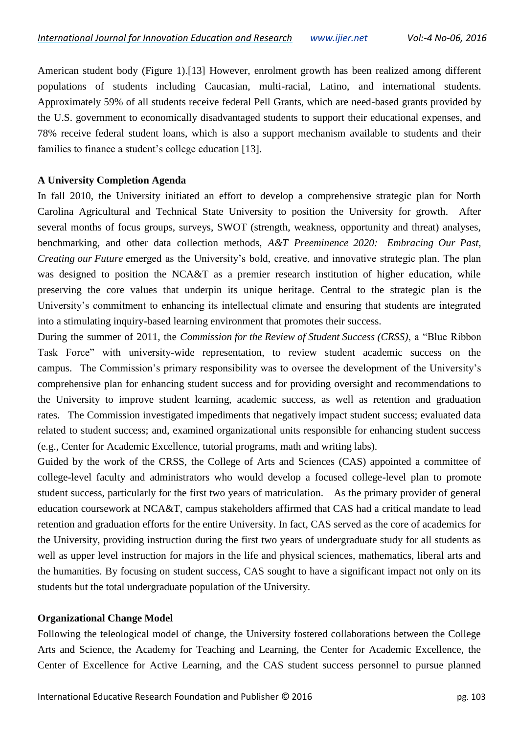American student body (Figure 1).[\[13\]](#page-11-8) However, enrolment growth has been realized among different populations of students including Caucasian, multi-racial, Latino, and international students. Approximately 59% of all students receive federal Pell Grants, which are need-based grants provided by the U.S. government to economically disadvantaged students to support their educational expenses, and 78% receive federal student loans, which is also a support mechanism available to students and their families to finance a student's college education [\[13\]](#page-11-8).

#### **A University Completion Agenda**

In fall 2010, the University initiated an effort to develop a comprehensive strategic plan for North Carolina Agricultural and Technical State University to position the University for growth. After several months of focus groups, surveys, SWOT (strength, weakness, opportunity and threat) analyses, benchmarking, and other data collection methods, *A&T Preeminence 2020: Embracing Our Past, Creating our Future* emerged as the University's bold, creative, and innovative strategic plan. The plan was designed to position the NCA&T as a premier research institution of higher education, while preserving the core values that underpin its unique heritage. Central to the strategic plan is the University's commitment to enhancing its intellectual climate and ensuring that students are integrated into a stimulating inquiry-based learning environment that promotes their success.

During the summer of 2011, the *Commission for the Review of Student Success (CRSS)*, a "Blue Ribbon Task Force" with university-wide representation, to review student academic success on the campus. The Commission's primary responsibility was to oversee the development of the University's comprehensive plan for enhancing student success and for providing oversight and recommendations to the University to improve student learning, academic success, as well as retention and graduation rates. The Commission investigated impediments that negatively impact student success; evaluated data related to student success; and, examined organizational units responsible for enhancing student success (e.g., Center for Academic Excellence, tutorial programs, math and writing labs).

Guided by the work of the CRSS, the College of Arts and Sciences (CAS) appointed a committee of college-level faculty and administrators who would develop a focused college-level plan to promote student success, particularly for the first two years of matriculation. As the primary provider of general education coursework at NCA&T, campus stakeholders affirmed that CAS had a critical mandate to lead retention and graduation efforts for the entire University. In fact, CAS served as the core of academics for the University, providing instruction during the first two years of undergraduate study for all students as well as upper level instruction for majors in the life and physical sciences, mathematics, liberal arts and the humanities. By focusing on student success, CAS sought to have a significant impact not only on its students but the total undergraduate population of the University.

#### **Organizational Change Model**

Following the teleological model of change, the University fostered collaborations between the College Arts and Science, the Academy for Teaching and Learning, the Center for Academic Excellence, the Center of Excellence for Active Learning, and the CAS student success personnel to pursue planned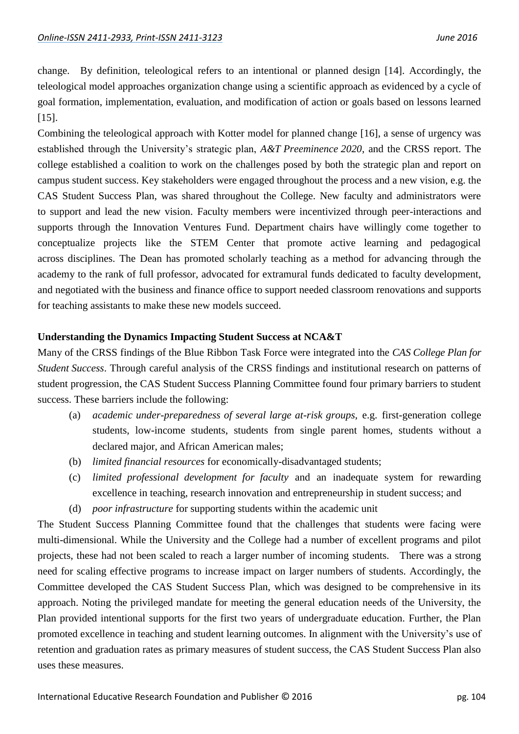change. By definition, teleological refers to an intentional or planned design [\[14\]](#page-11-9). Accordingly, the teleological model approaches organization change using a scientific approach as evidenced by a cycle of goal formation, implementation, evaluation, and modification of action or goals based on lessons learned [\[15\]](#page-11-10).

Combining the teleological approach with Kotter model for planned change [\[16\]](#page-11-11), a sense of urgency was established through the University's strategic plan, *A&T Preeminence 2020*, and the CRSS report. The college established a coalition to work on the challenges posed by both the strategic plan and report on campus student success. Key stakeholders were engaged throughout the process and a new vision, e.g. the CAS Student Success Plan, was shared throughout the College. New faculty and administrators were to support and lead the new vision. Faculty members were incentivized through peer-interactions and supports through the Innovation Ventures Fund. Department chairs have willingly come together to conceptualize projects like the STEM Center that promote active learning and pedagogical across disciplines. The Dean has promoted scholarly teaching as a method for advancing through the academy to the rank of full professor, advocated for extramural funds dedicated to faculty development, and negotiated with the business and finance office to support needed classroom renovations and supports for teaching assistants to make these new models succeed.

#### **Understanding the Dynamics Impacting Student Success at NCA&T**

Many of the CRSS findings of the Blue Ribbon Task Force were integrated into the *CAS College Plan for Student Success*. Through careful analysis of the CRSS findings and institutional research on patterns of student progression, the CAS Student Success Planning Committee found four primary barriers to student success. These barriers include the following:

- (a) *academic under-preparedness of several large at-risk groups*, e.g. first-generation college students, low-income students, students from single parent homes, students without a declared major, and African American males;
- (b) *limited financial resources* for economically-disadvantaged students;
- (c) *limited professional development for faculty* and an inadequate system for rewarding excellence in teaching, research innovation and entrepreneurship in student success; and
- (d) *poor infrastructure* for supporting students within the academic unit

The Student Success Planning Committee found that the challenges that students were facing were multi-dimensional. While the University and the College had a number of excellent programs and pilot projects, these had not been scaled to reach a larger number of incoming students. There was a strong need for scaling effective programs to increase impact on larger numbers of students. Accordingly, the Committee developed the CAS Student Success Plan, which was designed to be comprehensive in its approach. Noting the privileged mandate for meeting the general education needs of the University, the Plan provided intentional supports for the first two years of undergraduate education. Further, the Plan promoted excellence in teaching and student learning outcomes. In alignment with the University's use of retention and graduation rates as primary measures of student success, the CAS Student Success Plan also uses these measures.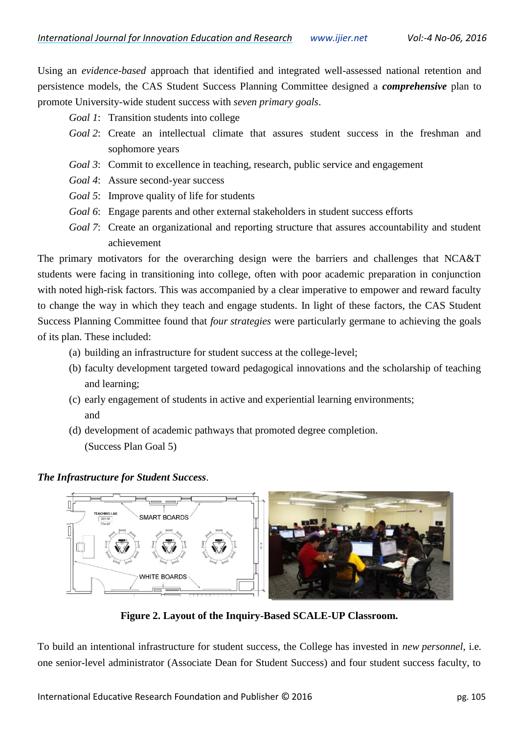Using an *evidence-based* approach that identified and integrated well-assessed national retention and persistence models, the CAS Student Success Planning Committee designed a *comprehensive* plan to promote University-wide student success with *seven primary goals*.

- *Goal 1*: Transition students into college
- *Goal 2*: Create an intellectual climate that assures student success in the freshman and sophomore years
- *Goal 3*: Commit to excellence in teaching, research, public service and engagement
- *Goal 4*: Assure second-year success
- *Goal 5*: Improve quality of life for students
- *Goal 6*: Engage parents and other external stakeholders in student success efforts
- *Goal 7*: Create an organizational and reporting structure that assures accountability and student achievement

The primary motivators for the overarching design were the barriers and challenges that NCA&T students were facing in transitioning into college, often with poor academic preparation in conjunction with noted high-risk factors. This was accompanied by a clear imperative to empower and reward faculty to change the way in which they teach and engage students. In light of these factors, the CAS Student Success Planning Committee found that *four strategies* were particularly germane to achieving the goals of its plan. These included:

- (a) building an infrastructure for student success at the college-level;
- (b) faculty development targeted toward pedagogical innovations and the scholarship of teaching and learning;
- (c) early engagement of students in active and experiential learning environments; and
- (d) development of academic pathways that promoted degree completion. (Success Plan Goal 5)

*The Infrastructure for Student Success*.



**Figure 2. Layout of the Inquiry-Based SCALE-UP Classroom.**

To build an intentional infrastructure for student success, the College has invested in *new personnel*, i.e. one senior-level administrator (Associate Dean for Student Success) and four student success faculty, to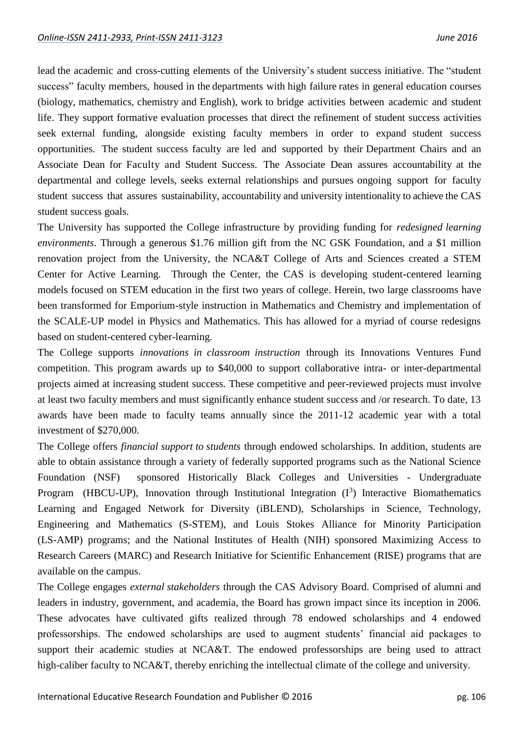lead the academic and cross-cutting elements of the University's student success initiative. The "student success" faculty members, housed in the departments with high failure rates in general education courses (biology, mathematics, chemistry and English), work to bridge activities between academic and student life. They support formative evaluation processes that direct the refinement of student success activities seek external funding, alongside existing faculty members in order to expand student success opportunities. The student success faculty are led and supported by their Department Chairs and an Associate Dean for Faculty and Student Success. The Associate Dean assures accountability at the departmental and college levels, seeks external relationships and pursues ongoing support for faculty student success that assures sustainability, accountability and university intentionality to achieve the CAS student success goals.

The University has supported the College infrastructure by providing funding for *redesigned learning environments*. Through a generous \$1.76 million gift from the NC GSK Foundation, and a \$1 million renovation project from the University, the NCA&T College of Arts and Sciences created a STEM Center for Active Learning. Through the Center, the CAS is developing student-centered learning models focused on STEM education in the first two years of college. Herein, two large classrooms have been transformed for Emporium-style instruction in Mathematics and Chemistry and implementation of the SCALE-UP model in Physics and Mathematics. This has allowed for a myriad of course redesigns based on student-centered cyber-learning.

The College supports *innovations in classroom instruction* through its Innovations Ventures Fund competition. This program awards up to \$40,000 to support collaborative intra- or inter-departmental projects aimed at increasing student success. These competitive and peer-reviewed projects must involve at least two faculty members and must significantly enhance student success and /or research. To date, 13 awards have been made to faculty teams annually since the 2011-12 academic year with a total investment of \$270,000.

The College offers *financial support to students* through endowed scholarships. In addition, students are able to obtain assistance through a variety of federally supported programs such as the National Science Foundation (NSF) sponsored Historically Black Colleges and Universities - Undergraduate Program (HBCU-UP), Innovation through Institutional Integration  $(I^3)$  Interactive Biomathematics Learning and Engaged Network for Diversity (iBLEND), Scholarships in Science, Technology, Engineering and Mathematics (S-STEM), and Louis Stokes Alliance for Minority Participation (LS-AMP) programs; and the National Institutes of Health (NIH) sponsored Maximizing Access to Research Careers (MARC) and Research Initiative for Scientific Enhancement (RISE) programs that are available on the campus.

The College engages *external stakeholders* through the CAS Advisory Board. Comprised of alumni and leaders in industry, government, and academia, the Board has grown impact since its inception in 2006. These advocates have cultivated gifts realized through 78 endowed scholarships and 4 endowed professorships. The endowed scholarships are used to augment students' financial aid packages to support their academic studies at NCA&T. The endowed professorships are being used to attract high-caliber faculty to NCA&T, thereby enriching the intellectual climate of the college and university.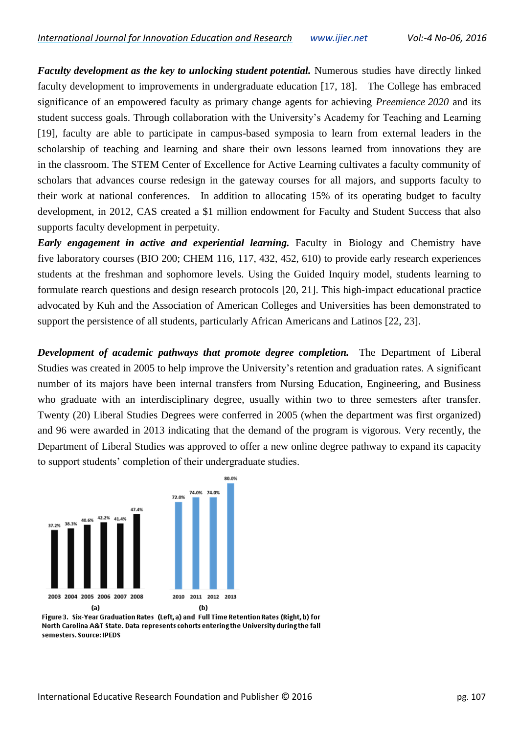*Faculty development as the key to unlocking student potential.* Numerous studies have directly linked faculty development to improvements in undergraduate education [\[17,](#page-11-12) [18\]](#page-11-13). The College has embraced significance of an empowered faculty as primary change agents for achieving *Preemience 2020* and its student success goals. Through collaboration with the University's Academy for Teaching and Learning [\[19\]](#page-11-14), faculty are able to participate in campus-based symposia to learn from external leaders in the scholarship of teaching and learning and share their own lessons learned from innovations they are in the classroom. The STEM Center of Excellence for Active Learning cultivates a faculty community of scholars that advances course redesign in the gateway courses for all majors, and supports faculty to their work at national conferences. In addition to allocating 15% of its operating budget to faculty development, in 2012, CAS created a \$1 million endowment for Faculty and Student Success that also supports faculty development in perpetuity.

*Early engagement in active and experiential learning.* Faculty in Biology and Chemistry have five laboratory courses (BIO 200; CHEM 116, 117, 432, 452, 610) to provide early research experiences students at the freshman and sophomore levels. Using the Guided Inquiry model, students learning to formulate rearch questions and design research protocols [\[20,](#page-11-15) [21\]](#page-11-16). This high-impact educational practice advocated by Kuh and the Association of American Colleges and Universities has been demonstrated to support the persistence of all students, particularly African Americans and Latinos [\[22,](#page-12-0) [23\]](#page-12-1).

*Development of academic pathways that promote degree completion.* The Department of Liberal Studies was created in 2005 to help improve the University's retention and graduation rates. A significant number of its majors have been internal transfers from Nursing Education, Engineering, and Business who graduate with an interdisciplinary degree, usually within two to three semesters after transfer. Twenty (20) Liberal Studies Degrees were conferred in 2005 (when the department was first organized) and 96 were awarded in 2013 indicating that the demand of the program is vigorous. Very recently, the Department of Liberal Studies was approved to offer a new online degree pathway to expand its capacity to support students' completion of their undergraduate studies.



Figure 3. Six-Year Graduation Rates (Left. a) and Full Time Retention Rates (Right, b) for North Carolina A&T State. Data represents cohorts entering the University during the fall semesters. Source: IPEDS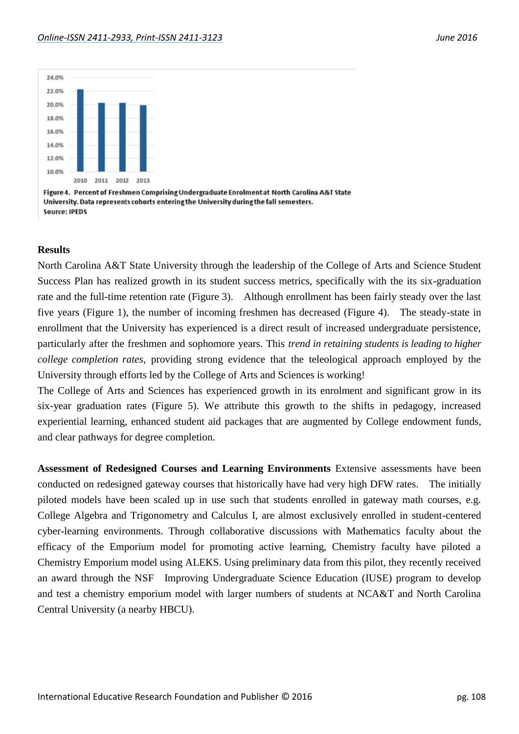

Figure 4. Percent of Freshmen Comprising Undergraduate Enrolment at North Carolina A&T State University. Data represents cohorts entering the University during the fall semesters. Source: IPEDS

#### **Results**

North Carolina A&T State University through the leadership of the College of Arts and Science Student Success Plan has realized growth in its student success metrics, specifically with the its six-graduation rate and the full-time retention rate (Figure 3). Although enrollment has been fairly steady over the last five years (Figure 1), the number of incoming freshmen has decreased (Figure 4). The steady-state in enrollment that the University has experienced is a direct result of increased undergraduate persistence, particularly after the freshmen and sophomore years. This *trend in retaining students is leading to higher college completion rates*, providing strong evidence that the teleological approach employed by the University through efforts led by the College of Arts and Sciences is working!

The College of Arts and Sciences has experienced growth in its enrolment and significant grow in its six-year graduation rates (Figure 5). We attribute this growth to the shifts in pedagogy, increased experiential learning, enhanced student aid packages that are augmented by College endowment funds, and clear pathways for degree completion.

**Assessment of Redesigned Courses and Learning Environments** Extensive assessments have been conducted on redesigned gateway courses that historically have had very high DFW rates. The initially piloted models have been scaled up in use such that students enrolled in gateway math courses, e.g. College Algebra and Trigonometry and Calculus I, are almost exclusively enrolled in student-centered cyber-learning environments. Through collaborative discussions with Mathematics faculty about the efficacy of the Emporium model for promoting active learning, Chemistry faculty have piloted a Chemistry Emporium model using ALEKS. Using preliminary data from this pilot, they recently received an award through the NSF Improving Undergraduate Science Education (IUSE) program to develop and test a chemistry emporium model with larger numbers of students at NCA&T and North Carolina Central University (a nearby HBCU).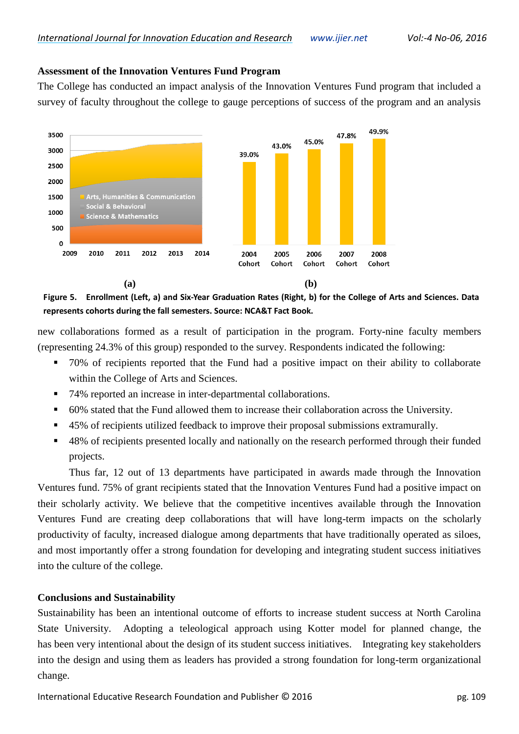## **Assessment of the Innovation Ventures Fund Program**

The College has conducted an impact analysis of the Innovation Ventures Fund program that included a survey of faculty throughout the college to gauge perceptions of success of the program and an analysis



**Figure 5. Enrollment (Left, a) and Six-Year Graduation Rates (Right, b) for the College of Arts and Sciences. Data represents cohorts during the fall semesters. Source: NCA&T Fact Book.**

new collaborations formed as a result of participation in the program. Forty-nine faculty members (representing 24.3% of this group) responded to the survey. Respondents indicated the following:

- 70% of recipients reported that the Fund had a positive impact on their ability to collaborate within the College of Arts and Sciences.
- 74% reported an increase in inter-departmental collaborations.
- 60% stated that the Fund allowed them to increase their collaboration across the University.
- 45% of recipients utilized feedback to improve their proposal submissions extramurally.
- 48% of recipients presented locally and nationally on the research performed through their funded projects.

Thus far, 12 out of 13 departments have participated in awards made through the Innovation Ventures fund. 75% of grant recipients stated that the Innovation Ventures Fund had a positive impact on their scholarly activity. We believe that the competitive incentives available through the Innovation Ventures Fund are creating deep collaborations that will have long-term impacts on the scholarly productivity of faculty, increased dialogue among departments that have traditionally operated as siloes, and most importantly offer a strong foundation for developing and integrating student success initiatives into the culture of the college.

# **Conclusions and Sustainability**

Sustainability has been an intentional outcome of efforts to increase student success at North Carolina State University. Adopting a teleological approach using Kotter model for planned change, the has been very intentional about the design of its student success initiatives. Integrating key stakeholders into the design and using them as leaders has provided a strong foundation for long-term organizational change.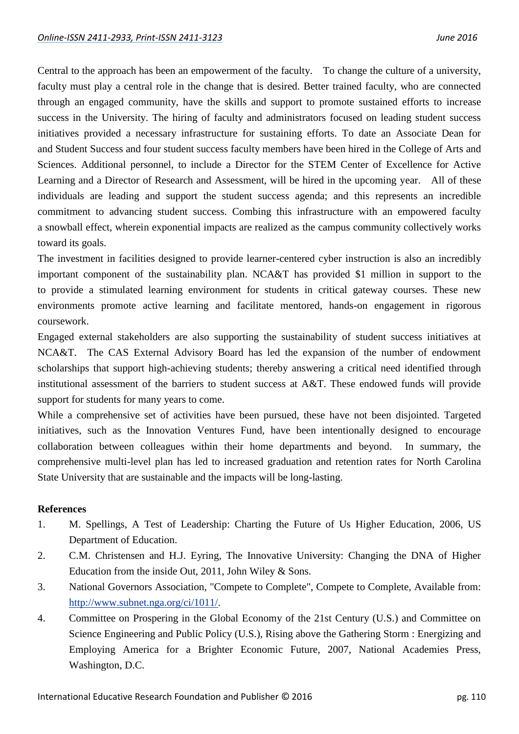Central to the approach has been an empowerment of the faculty. To change the culture of a university, faculty must play a central role in the change that is desired. Better trained faculty, who are connected through an engaged community, have the skills and support to promote sustained efforts to increase success in the University. The hiring of faculty and administrators focused on leading student success initiatives provided a necessary infrastructure for sustaining efforts. To date an Associate Dean for and Student Success and four student success faculty members have been hired in the College of Arts and Sciences. Additional personnel, to include a Director for the STEM Center of Excellence for Active Learning and a Director of Research and Assessment, will be hired in the upcoming year. All of these individuals are leading and support the student success agenda; and this represents an incredible commitment to advancing student success. Combing this infrastructure with an empowered faculty a snowball effect, wherein exponential impacts are realized as the campus community collectively works toward its goals.

The investment in facilities designed to provide learner-centered cyber instruction is also an incredibly important component of the sustainability plan. NCA&T has provided \$1 million in support to the to provide a stimulated learning environment for students in critical gateway courses. These new environments promote active learning and facilitate mentored, hands-on engagement in rigorous coursework.

Engaged external stakeholders are also supporting the sustainability of student success initiatives at NCA&T. The CAS External Advisory Board has led the expansion of the number of endowment scholarships that support high-achieving students; thereby answering a critical need identified through institutional assessment of the barriers to student success at A&T. These endowed funds will provide support for students for many years to come.

While a comprehensive set of activities have been pursued, these have not been disjointed. Targeted initiatives, such as the Innovation Ventures Fund, have been intentionally designed to encourage collaboration between colleagues within their home departments and beyond. In summary, the comprehensive multi-level plan has led to increased graduation and retention rates for North Carolina State University that are sustainable and the impacts will be long-lasting.

#### **References**

- <span id="page-10-0"></span>1. M. Spellings, A Test of Leadership: Charting the Future of Us Higher Education, 2006, US Department of Education.
- 2. C.M. Christensen and H.J. Eyring, The Innovative University: Changing the DNA of Higher Education from the inside Out, 2011, John Wiley & Sons.
- <span id="page-10-2"></span>3. National Governors Association, "Compete to Complete", Compete to Complete, Available from: [http://www.subnet.nga.org/ci/1011/.](http://www.subnet.nga.org/ci/1011/)
- <span id="page-10-1"></span>4. Committee on Prospering in the Global Economy of the 21st Century (U.S.) and Committee on Science Engineering and Public Policy (U.S.), Rising above the Gathering Storm : Energizing and Employing America for a Brighter Economic Future, 2007, National Academies Press, Washington, D.C.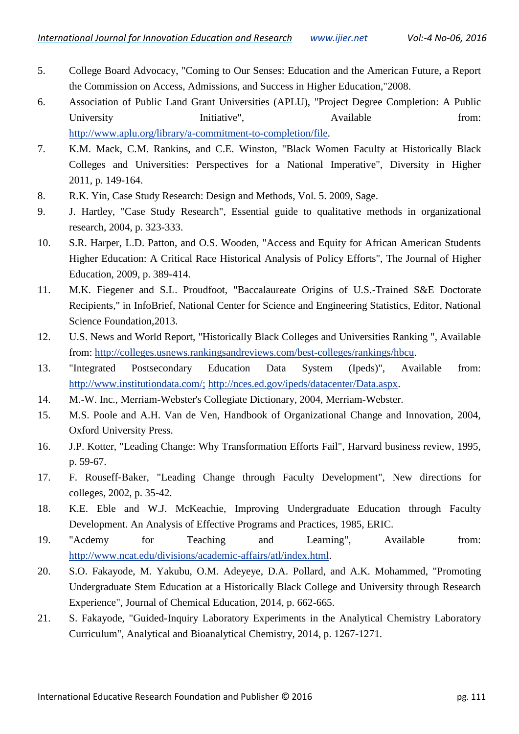- <span id="page-11-0"></span>5. College Board Advocacy, "Coming to Our Senses: Education and the American Future, a Report the Commission on Access, Admissions, and Success in Higher Education,"2008.
- <span id="page-11-1"></span>6. Association of Public Land Grant Universities (APLU), "Project Degree Completion: A Public University Initiative", Available from: [http://www.aplu.org/library/a-commitment-to-completion/file.](http://www.aplu.org/library/a-commitment-to-completion/file)
- <span id="page-11-2"></span>7. K.M. Mack, C.M. Rankins, and C.E. Winston, "Black Women Faculty at Historically Black Colleges and Universities: Perspectives for a National Imperative", Diversity in Higher 2011, p. 149-164.
- <span id="page-11-3"></span>8. R.K. Yin, Case Study Research: Design and Methods, Vol. 5. 2009, Sage.
- <span id="page-11-4"></span>9. J. Hartley, "Case Study Research", Essential guide to qualitative methods in organizational research, 2004, p. 323-333.
- <span id="page-11-5"></span>10. S.R. Harper, L.D. Patton, and O.S. Wooden, "Access and Equity for African American Students Higher Education: A Critical Race Historical Analysis of Policy Efforts", The Journal of Higher Education, 2009, p. 389-414.
- <span id="page-11-6"></span>11. M.K. Fiegener and S.L. Proudfoot, "Baccalaureate Origins of U.S.-Trained S&E Doctorate Recipients," in InfoBrief, National Center for Science and Engineering Statistics, Editor, National Science Foundation,2013.
- <span id="page-11-7"></span>12. U.S. News and World Report, "Historically Black Colleges and Universities Ranking ", Available from: [http://colleges.usnews.rankingsandreviews.com/best-colleges/rankings/hbcu.](http://colleges.usnews.rankingsandreviews.com/best-colleges/rankings/hbcu)
- <span id="page-11-8"></span>13. "Integrated Postsecondary Education Data System (Ipeds)", Available from: <http://www.institutiondata.com/;> [http://nces.ed.gov/ipeds/datacenter/Data.aspx.](http://nces.ed.gov/ipeds/datacenter/Data.aspx)
- <span id="page-11-9"></span>14. M.-W. Inc., Merriam-Webster's Collegiate Dictionary, 2004, Merriam-Webster.
- <span id="page-11-10"></span>15. M.S. Poole and A.H. Van de Ven, Handbook of Organizational Change and Innovation, 2004, Oxford University Press.
- <span id="page-11-11"></span>16. J.P. Kotter, "Leading Change: Why Transformation Efforts Fail", Harvard business review, 1995, p. 59-67.
- <span id="page-11-12"></span>17. F. Rouseff‐Baker, "Leading Change through Faculty Development", New directions for colleges, 2002, p. 35-42.
- <span id="page-11-13"></span>18. K.E. Eble and W.J. McKeachie, Improving Undergraduate Education through Faculty Development. An Analysis of Effective Programs and Practices, 1985, ERIC.
- <span id="page-11-14"></span>19. "Acdemy for Teaching and Learning", Available from: [http://www.ncat.edu/divisions/academic-affairs/atl/index.html.](http://www.ncat.edu/divisions/academic-affairs/atl/index.html)
- <span id="page-11-15"></span>20. S.O. Fakayode, M. Yakubu, O.M. Adeyeye, D.A. Pollard, and A.K. Mohammed, "Promoting Undergraduate Stem Education at a Historically Black College and University through Research Experience", Journal of Chemical Education, 2014, p. 662-665.
- <span id="page-11-16"></span>21. S. Fakayode, "Guided-Inquiry Laboratory Experiments in the Analytical Chemistry Laboratory Curriculum", Analytical and Bioanalytical Chemistry, 2014, p. 1267-1271.